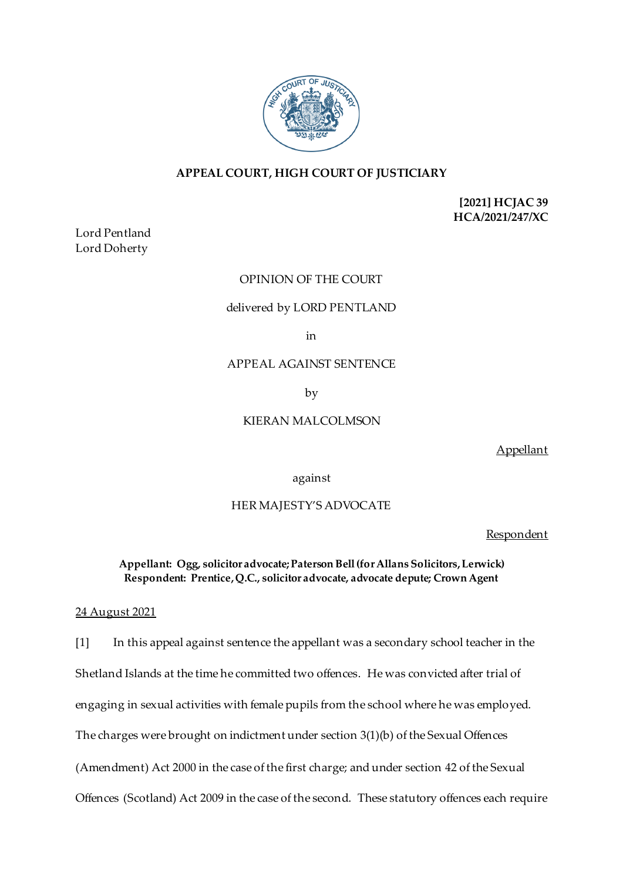

# **APPEAL COURT, HIGH COURT OF JUSTICIARY**

**[2021] HCJAC 39 HCA/2021/247/XC**

Lord Pentland Lord Doherty

### OPINION OF THE COURT

#### delivered by LORD PENTLAND

in

APPEAL AGAINST SENTENCE

by

## KIERAN MALCOLMSON

Appellant

against

### HER MAJESTY'S ADVOCATE

Respondent

**Appellant: Ogg, solicitor advocate; Paterson Bell (for Allans Solicitors, Lerwick) Respondent: Prentice, Q.C., solicitor advocate, advocate depute; Crown Agent**

### 24 August 2021

[1] In this appeal against sentence the appellant was a secondary school teacher in the Shetland Islands at the time he committed two offences. He was convicted after trial of engaging in sexual activities with female pupils from the school where he was employed. The charges were brought on indictment under section 3(1)(b) of the Sexual Offences (Amendment) Act 2000 in the case of the first charge; and under section 42 of the Sexual Offences (Scotland) Act 2009 in the case of the second. These statutory offences each require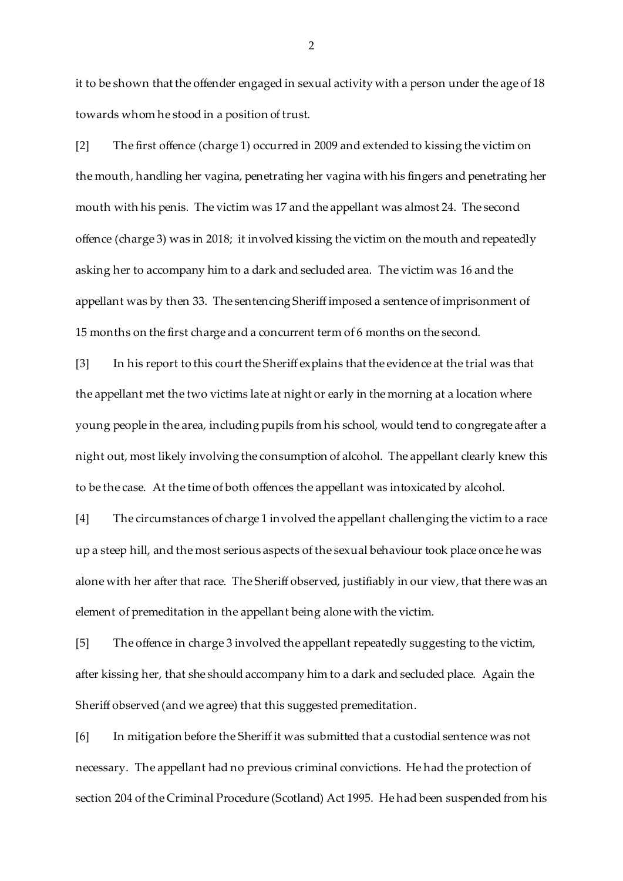it to be shown that the offender engaged in sexual activity with a person under the age of 18 towards whom he stood in a position of trust.

[2] The first offence (charge 1) occurred in 2009 and extended to kissing the victim on the mouth, handling her vagina, penetrating her vagina with his fingers and penetrating her mouth with his penis. The victim was 17 and the appellant was almost 24. The second offence (charge 3) was in 2018; it involved kissing the victim on the mouth and repeatedly asking her to accompany him to a dark and secluded area. The victim was 16 and the appellant was by then 33. The sentencing Sheriff imposed a sentence of imprisonment of 15 months on the first charge and a concurrent term of 6 months on the second.

[3] In his report to this court the Sheriff explains that the evidence at the trial was that the appellant met the two victims late at night or early in the morning at a location where young people in the area, including pupils from his school, would tend to congregate after a night out, most likely involving the consumption of alcohol. The appellant clearly knew this to be the case. At the time of both offences the appellant was intoxicated by alcohol.

[4] The circumstances of charge 1 involved the appellant challenging the victim to a race up a steep hill, and the most serious aspects of the sexual behaviour took place once he was alone with her after that race. The Sheriff observed, justifiably in our view, that there was an element of premeditation in the appellant being alone with the victim.

[5] The offence in charge 3 involved the appellant repeatedly suggesting to the victim, after kissing her, that she should accompany him to a dark and secluded place. Again the Sheriff observed (and we agree) that this suggested premeditation.

[6] In mitigation before the Sheriff it was submitted that a custodial sentence was not necessary. The appellant had no previous criminal convictions. He had the protection of section 204 of the Criminal Procedure (Scotland) Act 1995. He had been suspended from his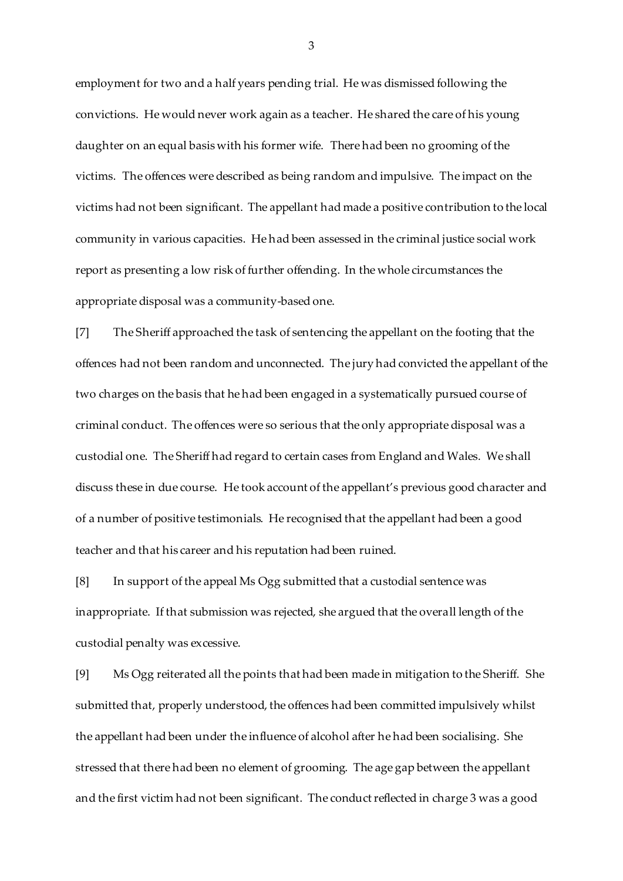employment for two and a half years pending trial. He was dismissed following the convictions. He would never work again as a teacher. He shared the care of his young daughter on an equal basis with his former wife. There had been no grooming of the victims. The offences were described as being random and impulsive. The impact on the victims had not been significant. The appellant had made a positive contribution to the local community in various capacities. He had been assessed in the criminal justice social work report as presenting a low risk of further offending. In the whole circumstances the appropriate disposal was a community-based one.

[7] The Sheriff approached the task of sentencing the appellant on the footing that the offences had not been random and unconnected. The jury had convicted the appellant of the two charges on the basis that he had been engaged in a systematically pursued course of criminal conduct. The offences were so serious that the only appropriate disposal was a custodial one. The Sheriff had regard to certain cases from England and Wales. We shall discuss these in due course. He took account of the appellant's previous good character and of a number of positive testimonials. He recognised that the appellant had been a good teacher and that his career and his reputation had been ruined.

[8] In support of the appeal Ms Ogg submitted that a custodial sentence was inappropriate. If that submission was rejected, she argued that the overall length of the custodial penalty was excessive.

[9] Ms Ogg reiterated all the points that had been made in mitigation to the Sheriff. She submitted that, properly understood, the offences had been committed impulsively whilst the appellant had been under the influence of alcohol after he had been socialising. She stressed that there had been no element of grooming. The age gap between the appellant and the first victim had not been significant. The conduct reflected in charge 3 was a good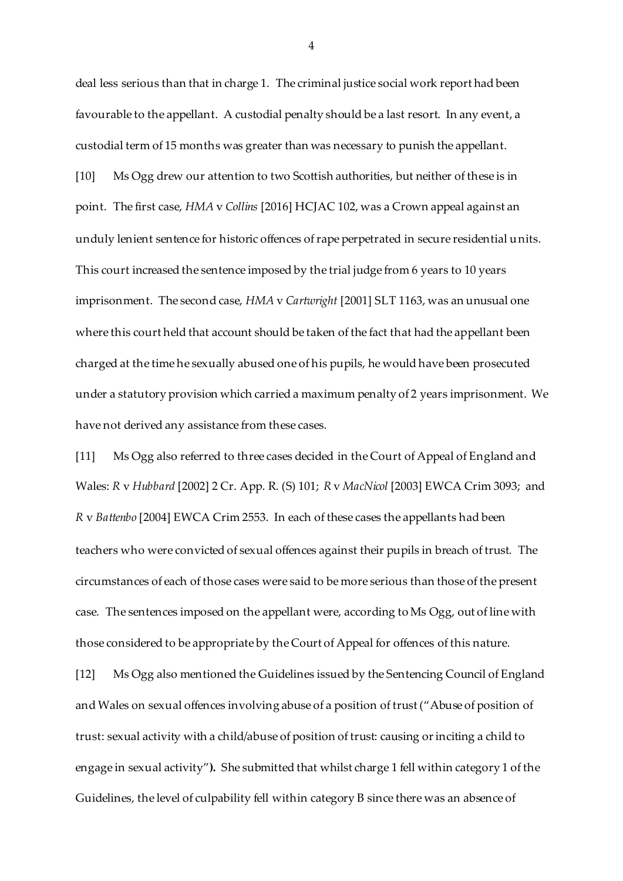deal less serious than that in charge 1. The criminal justice social work report had been favourable to the appellant. A custodial penalty should be a last resort. In any event, a custodial term of 15 months was greater than was necessary to punish the appellant. [10] Ms Ogg drew our attention to two Scottish authorities, but neither of these is in point. The first case, *HMA* v *Collins* [2016] HCJAC 102, was a Crown appeal against an unduly lenient sentence for historic offences of rape perpetrated in secure residential units. This court increased the sentence imposed by the trial judge from 6 years to 10 years imprisonment. The second case, *HMA* v *Cartwright* [2001] SLT 1163, was an unusual one where this court held that account should be taken of the fact that had the appellant been charged at the time he sexually abused one of his pupils, he would have been prosecuted under a statutory provision which carried a maximum penalty of 2 years imprisonment. We have not derived any assistance from these cases.

[11] Ms Ogg also referred to three cases decided in the Court of Appeal of England and Wales: *R* v *Hubbard* [2002] 2 Cr. App. R. (S) 101; *R* v *MacNicol* [2003] EWCA Crim 3093; and *R* v *Battenbo* [2004] EWCA Crim 2553. In each of these cases the appellants had been teachers who were convicted of sexual offences against their pupils in breach of trust. The circumstances of each of those cases were said to be more serious than those of the present case. The sentences imposed on the appellant were, according to Ms Ogg, out of line with those considered to be appropriate by the Court of Appeal for offences of this nature.

[12] Ms Ogg also mentioned the Guidelines issued by the Sentencing Council of England and Wales on sexual offences involving abuse of a position of trust ("Abuse of position of trust: sexual activity with a child/abuse of position of trust: causing or inciting a child to engage in sexual activity"**).** She submitted that whilst charge 1 fell within category 1 of the Guidelines, the level of culpability fell within category B since there was an absence of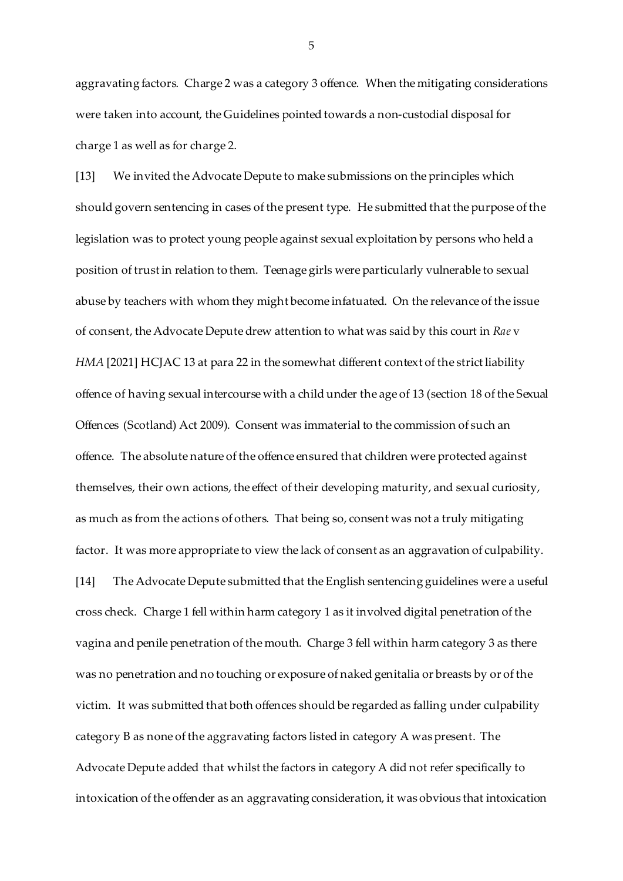aggravating factors. Charge 2 was a category 3 offence. When the mitigating considerations were taken into account, the Guidelines pointed towards a non-custodial disposal for charge 1 as well as for charge 2.

[13] We invited the Advocate Depute to make submissions on the principles which should govern sentencing in cases of the present type. He submitted that the purpose of the legislation was to protect young people against sexual exploitation by persons who held a position of trust in relation to them. Teenage girls were particularly vulnerable to sexual abuse by teachers with whom they might become infatuated. On the relevance of the issue of consent, the Advocate Depute drew attention to what was said by this court in *Rae* v *HMA* [2021] HCJAC 13 at para 22 in the somewhat different context of the strict liability offence of having sexual intercourse with a child under the age of 13 (section 18 of the Sexual Offences (Scotland) Act 2009). Consent was immaterial to the commission of such an offence. The absolute nature of the offence ensured that children were protected against themselves, their own actions, the effect of their developing maturity, and sexual curiosity, as much as from the actions of others. That being so, consent was not a truly mitigating factor. It was more appropriate to view the lack of consent as an aggravation of culpability. [14] The Advocate Depute submitted that the English sentencing guidelines were a useful cross check. Charge 1 fell within harm category 1 as it involved digital penetration of the vagina and penile penetration of the mouth. Charge 3 fell within harm category 3 as there was no penetration and no touching or exposure of naked genitalia or breasts by or of the victim. It was submitted that both offences should be regarded as falling under culpability category B as none of the aggravating factors listed in category A was present. The Advocate Depute added that whilst the factors in category A did not refer specifically to intoxication of the offender as an aggravating consideration, it was obvious that intoxication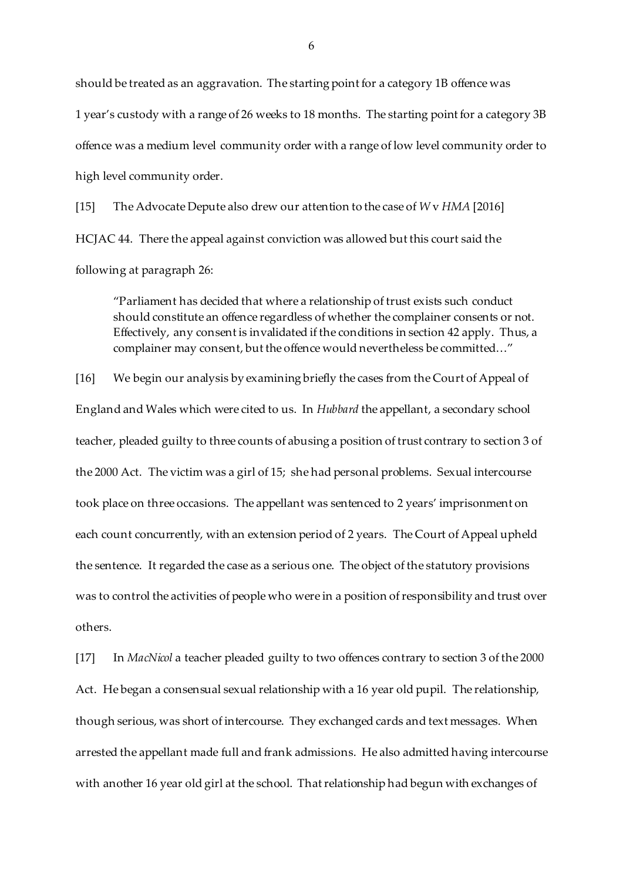should be treated as an aggravation. The starting point for a category 1B offence was 1 year's custody with a range of 26 weeks to 18 months. The starting point for a category 3B offence was a medium level community order with a range of low level community order to high level community order.

[15] The Advocate Depute also drew our attention to the case of *W* v *HMA* [2016] HCJAC 44. There the appeal against conviction was allowed but this court said the following at paragraph 26:

"Parliament has decided that where a relationship of trust exists such conduct should constitute an offence regardless of whether the complainer consents or not. Effectively, any consent is invalidated if the conditions in section 42 apply. Thus, a complainer may consent, but the offence would nevertheless be committed…"

[16] We begin our analysis by examining briefly the cases from the Court of Appeal of England and Wales which were cited to us. In *Hubbard* the appellant, a secondary school teacher, pleaded guilty to three counts of abusing a position of trust contrary to section 3 of the 2000 Act. The victim was a girl of 15; she had personal problems. Sexual intercourse took place on three occasions. The appellant was sentenced to 2 years' imprisonment on each count concurrently, with an extension period of 2 years. The Court of Appeal upheld the sentence. It regarded the case as a serious one. The object of the statutory provisions was to control the activities of people who were in a position of responsibility and trust over others.

[17] In *MacNicol* a teacher pleaded guilty to two offences contrary to section 3 of the 2000 Act. He began a consensual sexual relationship with a 16 year old pupil. The relationship, though serious, was short of intercourse. They exchanged cards and text messages. When arrested the appellant made full and frank admissions. He also admitted having intercourse with another 16 year old girl at the school. That relationship had begun with exchanges of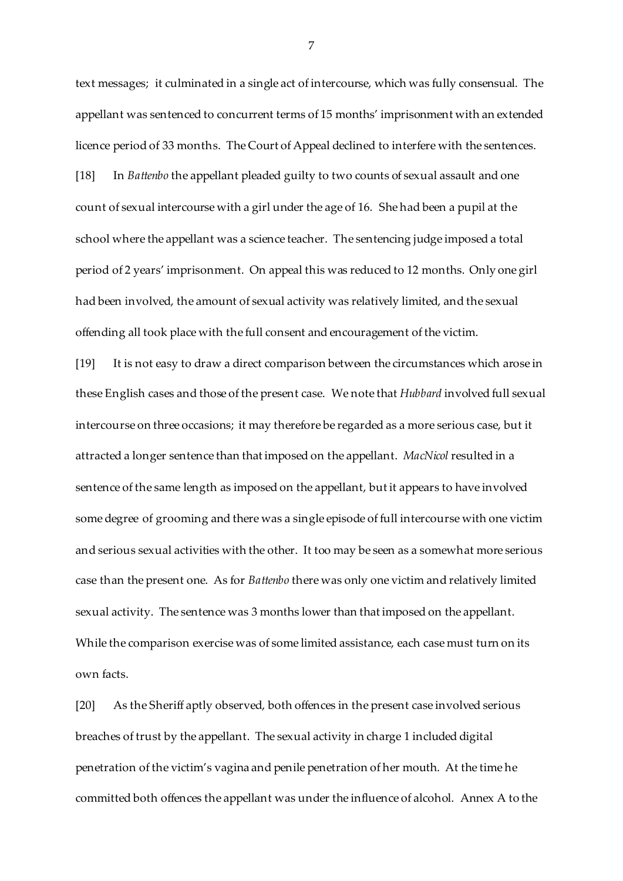text messages; it culminated in a single act of intercourse, which was fully consensual. The appellant was sentenced to concurrent terms of 15 months' imprisonment with an extended licence period of 33 months. The Court of Appeal declined to interfere with the sentences. [18] In *Battenbo* the appellant pleaded guilty to two counts of sexual assault and one count of sexual intercourse with a girl under the age of 16. She had been a pupil at the school where the appellant was a science teacher. The sentencing judge imposed a total period of 2 years' imprisonment. On appeal this was reduced to 12 months. Only one girl had been involved, the amount of sexual activity was relatively limited, and the sexual offending all took place with the full consent and encouragement of the victim.

[19] It is not easy to draw a direct comparison between the circumstances which arose in these English cases and those of the present case. We note that *Hubbard* involved full sexual intercourse on three occasions; it may therefore be regarded as a more serious case, but it attracted a longer sentence than that imposed on the appellant. *MacNicol* resulted in a sentence of the same length as imposed on the appellant, but it appears to have involved some degree of grooming and there was a single episode of full intercourse with one victim and serious sexual activities with the other. It too may be seen as a somewhat more serious case than the present one. As for *Battenbo* there was only one victim and relatively limited sexual activity. The sentence was 3 months lower than that imposed on the appellant. While the comparison exercise was of some limited assistance, each case must turn on its own facts.

[20] As the Sheriff aptly observed, both offences in the present case involved serious breaches of trust by the appellant. The sexual activity in charge 1 included digital penetration of the victim's vagina and penile penetration of her mouth. At the time he committed both offences the appellant was under the influence of alcohol. Annex A to the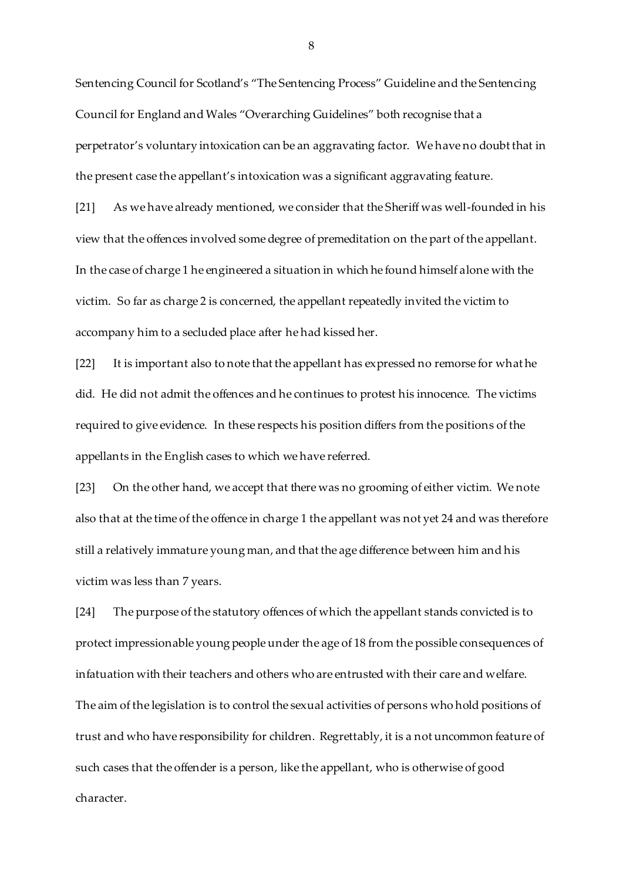Sentencing Council for Scotland's "The Sentencing Process" Guideline and the Sentencing Council for England and Wales "Overarching Guidelines" both recognise that a perpetrator's voluntary intoxication can be an aggravating factor. We have no doubt that in the present case the appellant's intoxication was a significant aggravating feature.

[21] As we have already mentioned, we consider that the Sheriff was well-founded in his view that the offences involved some degree of premeditation on the part of the appellant. In the case of charge 1 he engineered a situation in which he found himself alone with the victim. So far as charge 2 is concerned, the appellant repeatedly invited the victim to accompany him to a secluded place after he had kissed her.

[22] It is important also to note that the appellant has expressed no remorse for what he did. He did not admit the offences and he continues to protest his innocence. The victims required to give evidence. In these respects his position differs from the positions of the appellants in the English cases to which we have referred.

[23] On the other hand, we accept that there was no grooming of either victim. We note also that at the time of the offence in charge 1 the appellant was not yet 24 and was therefore still a relatively immature young man, and that the age difference between him and his victim was less than 7 years.

[24] The purpose of the statutory offences of which the appellant stands convicted is to protect impressionable young people under the age of 18 from the possible consequences of infatuation with their teachers and others who are entrusted with their care and welfare. The aim of the legislation is to control the sexual activities of persons who hold positions of trust and who have responsibility for children. Regrettably, it is a not uncommon feature of such cases that the offender is a person, like the appellant, who is otherwise of good character.